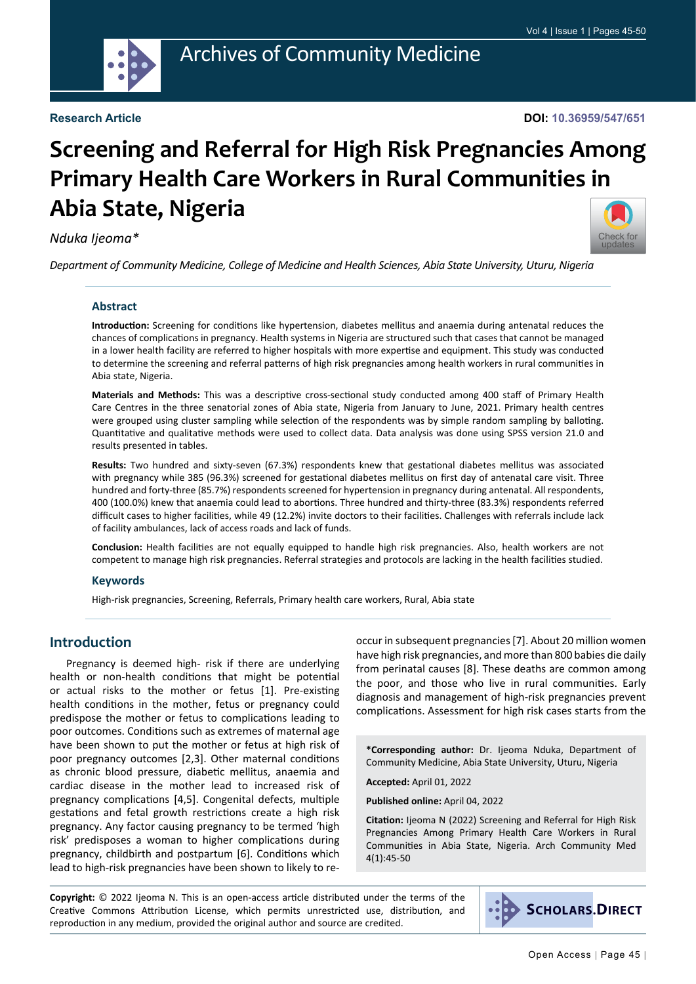

# **Screening and Referral for High Risk Pregnancies Among Primary Health Care Workers in Rural Communities in Abia State, Nigeria**

*Nduka Ijeoma\**



*Department of Community Medicine, College of Medicine and Health Sciences, Abia State University, Uturu, Nigeria*

#### **Abstract**

**Introduction:** Screening for conditions like hypertension, diabetes mellitus and anaemia during antenatal reduces the chances of complications in pregnancy. Health systems in Nigeria are structured such that cases that cannot be managed in a lower health facility are referred to higher hospitals with more expertise and equipment. This study was conducted to determine the screening and referral patterns of high risk pregnancies among health workers in rural communities in Abia state, Nigeria.

**Materials and Methods:** This was a descriptive cross-sectional study conducted among 400 staff of Primary Health Care Centres in the three senatorial zones of Abia state, Nigeria from January to June, 2021. Primary health centres were grouped using cluster sampling while selection of the respondents was by simple random sampling by balloting. Quantitative and qualitative methods were used to collect data. Data analysis was done using SPSS version 21.0 and results presented in tables.

**Results:** Two hundred and sixty-seven (67.3%) respondents knew that gestational diabetes mellitus was associated with pregnancy while 385 (96.3%) screened for gestational diabetes mellitus on first day of antenatal care visit. Three hundred and forty-three (85.7%) respondents screened for hypertension in pregnancy during antenatal. All respondents, 400 (100.0%) knew that anaemia could lead to abortions. Three hundred and thirty-three (83.3%) respondents referred difficult cases to higher facilities, while 49 (12.2%) invite doctors to their facilities. Challenges with referrals include lack of facility ambulances, lack of access roads and lack of funds.

**Conclusion:** Health facilities are not equally equipped to handle high risk pregnancies. Also, health workers are not competent to manage high risk pregnancies. Referral strategies and protocols are lacking in the health facilities studied.

#### **Keywords**

High-risk pregnancies, Screening, Referrals, Primary health care workers, Rural, Abia state

#### **Introduction**

Pregnancy is deemed high- risk if there are underlying health or non-health conditions that might be potential or actual risks to the mother or fetus [1]. Pre-existing health conditions in the mother, fetus or pregnancy could predispose the mother or fetus to complications leading to poor outcomes. Conditions such as extremes of maternal age have been shown to put the mother or fetus at high risk of poor pregnancy outcomes [2,3]. Other maternal conditions as chronic blood pressure, diabetic mellitus, anaemia and cardiac disease in the mother lead to increased risk of pregnancy complications [4,5]. Congenital defects, multiple gestations and fetal growth restrictions create a high risk pregnancy. Any factor causing pregnancy to be termed 'high risk' predisposes a woman to higher complications during pregnancy, childbirth and postpartum [6]. Conditions which lead to high-risk pregnancies have been shown to likely to re-

occur in subsequent pregnancies [7]. About 20 million women have high risk pregnancies, and more than 800 babies die daily from perinatal causes [8]. These deaths are common among the poor, and those who live in rural communities. Early diagnosis and management of high-risk pregnancies prevent complications. Assessment for high risk cases starts from the

**\*Corresponding author:** Dr. Ijeoma Nduka, Department of Community Medicine, Abia State University, Uturu, Nigeria

**Accepted:** April 01, 2022

**Published online:** April 04, 2022

**Citation:** Ijeoma N (2022) Screening and Referral for High Risk Pregnancies Among Primary Health Care Workers in Rural Communities in Abia State, Nigeria. Arch Community Med 4(1):45-50

**Copyright:** © 2022 Ijeoma N. This is an open-access article distributed under the terms of the Creative Commons Attribution License, which permits unrestricted use, distribution, and reproduction in any medium, provided the original author and source are credited.

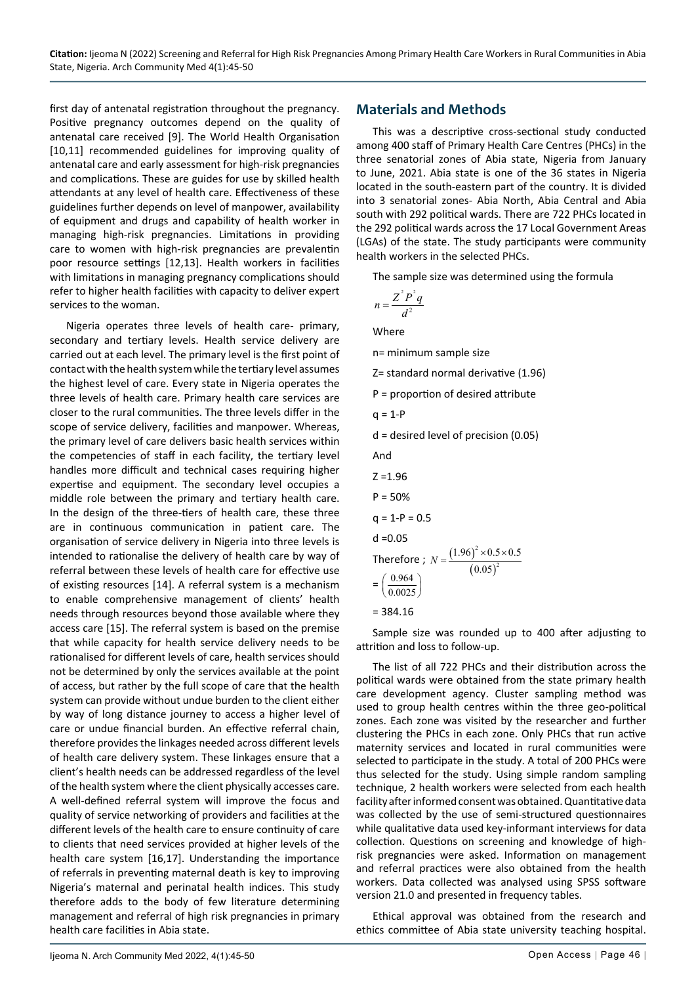first day of antenatal registration throughout the pregnancy. Positive pregnancy outcomes depend on the quality of antenatal care received [9]. The World Health Organisation [10,11] recommended guidelines for improving quality of antenatal care and early assessment for high-risk pregnancies and complications. These are guides for use by skilled health attendants at any level of health care. Effectiveness of these guidelines further depends on level of manpower, availability of equipment and drugs and capability of health worker in managing high-risk pregnancies. Limitations in providing care to women with high-risk pregnancies are prevalentin poor resource settings [12,13]. Health workers in facilities with limitations in managing pregnancy complications should refer to higher health facilities with capacity to deliver expert services to the woman.

Nigeria operates three levels of health care- primary, secondary and tertiary levels. Health service delivery are carried out at each level. The primary level is the first point of contact with the health system while the tertiary level assumes the highest level of care. Every state in Nigeria operates the three levels of health care. Primary health care services are closer to the rural communities. The three levels differ in the scope of service delivery, facilities and manpower. Whereas, the primary level of care delivers basic health services within the competencies of staff in each facility, the tertiary level handles more difficult and technical cases requiring higher expertise and equipment. The secondary level occupies a middle role between the primary and tertiary health care. In the design of the three-tiers of health care, these three are in continuous communication in patient care. The organisation of service delivery in Nigeria into three levels is intended to rationalise the delivery of health care by way of referral between these levels of health care for effective use of existing resources [14]. A referral system is a mechanism to enable comprehensive management of clients' health needs through resources beyond those available where they access care [15]. The referral system is based on the premise that while capacity for health service delivery needs to be rationalised for different levels of care, health services should not be determined by only the services available at the point of access, but rather by the full scope of care that the health system can provide without undue burden to the client either by way of long distance journey to access a higher level of care or undue financial burden. An effective referral chain, therefore provides the linkages needed across different levels of health care delivery system. These linkages ensure that a client's health needs can be addressed regardless of the level of the health system where the client physically accesses care. A well-defined referral system will improve the focus and quality of service networking of providers and facilities at the different levels of the health care to ensure continuity of care to clients that need services provided at higher levels of the health care system [16,17]. Understanding the importance of referrals in preventing maternal death is key to improving Nigeria's maternal and perinatal health indices. This study therefore adds to the body of few literature determining management and referral of high risk pregnancies in primary health care facilities in Abia state.

# **Materials and Methods**

This was a descriptive cross-sectional study conducted among 400 staff of Primary Health Care Centres (PHCs) in the three senatorial zones of Abia state, Nigeria from January to June, 2021. Abia state is one of the 36 states in Nigeria located in the south-eastern part of the country. It is divided into 3 senatorial zones- Abia North, Abia Central and Abia south with 292 political wards. There are 722 PHCs located in the 292 political wards across the 17 Local Government Areas (LGAs) of the state. The study participants were community health workers in the selected PHCs.

The sample size was determined using the formula

$$
n = \frac{Z^2 P^2 q}{d^2}
$$

Where

n= minimum sample size

Z= standard normal derivative (1.96)

P = proportion of desired attribute

 $q = 1 - P$ 

d = desired level of precision (0.05)

And

 $7 = 1.96$  $P = 50%$ 

 $q = 1 - P = 0.5$ 

d =0.05

Therefore ;  $N = \frac{(1.96)}{6}$  $(0.05)$ 2 2  $(1.96)^2 \times 0.5 \times 0.5$ 0.05  $N = \frac{(1.96)^2 \times 0.5 \times}{(1.98)^2}$  $=\left(\frac{0.964}{0.0025}\right)$ 

 $= 384.16$ 

Sample size was rounded up to 400 after adjusting to attrition and loss to follow-up.

The list of all 722 PHCs and their distribution across the political wards were obtained from the state primary health care development agency. Cluster sampling method was used to group health centres within the three geo-political zones. Each zone was visited by the researcher and further clustering the PHCs in each zone. Only PHCs that run active maternity services and located in rural communities were selected to participate in the study. A total of 200 PHCs were thus selected for the study. Using simple random sampling technique, 2 health workers were selected from each health facility after informed consent was obtained. Quantitative data was collected by the use of semi-structured questionnaires while qualitative data used key-informant interviews for data collection. Questions on screening and knowledge of highrisk pregnancies were asked. Information on management and referral practices were also obtained from the health workers. Data collected was analysed using SPSS software version 21.0 and presented in frequency tables.

Ethical approval was obtained from the research and ethics committee of Abia state university teaching hospital.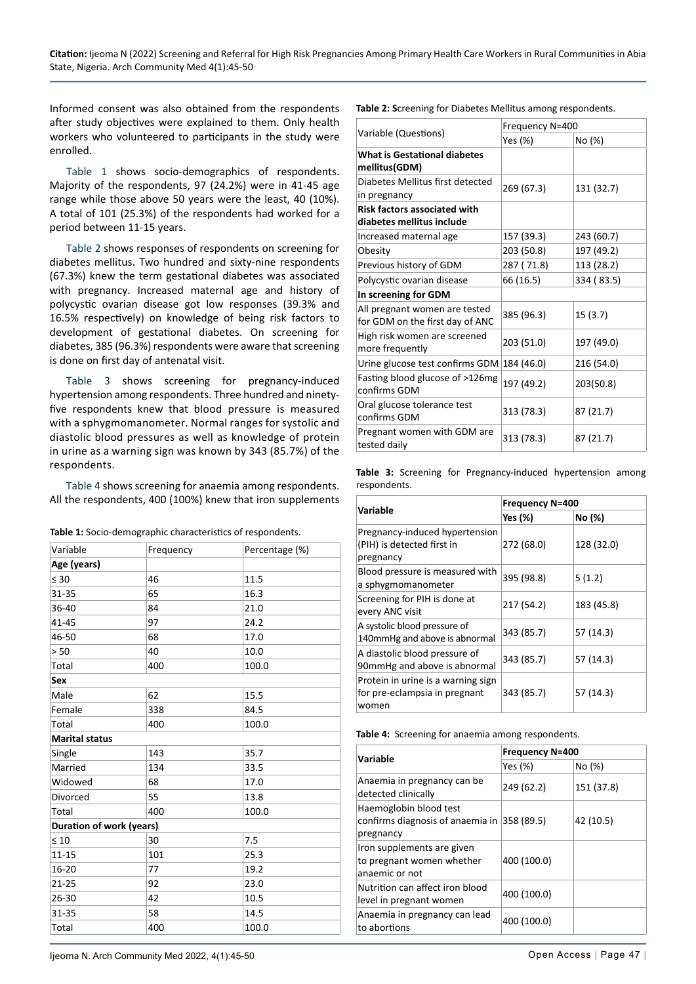Informed consent was also obtained from the respondents after study objectives were explained to them. Only health workers who volunteered to participants in the study were enrolled.

[Table 1](#page-2-0) shows socio-demographics of respondents. Majority of the respondents, 97 (24.2%) were in 41-45 age range while those above 50 years were the least, 40 (10%). A total of 101 (25.3%) of the respondents had worked for a period between 11-15 years.

[Table 2](#page-2-1) shows responses of respondents on screening for diabetes mellitus. Two hundred and sixty-nine respondents (67.3%) knew the term gestational diabetes was associated with pregnancy. Increased maternal age and history of polycystic ovarian disease got low responses (39.3% and 16.5% respectively) on knowledge of being risk factors to development of gestational diabetes. On screening for diabetes, 385 (96.3%) respondents were aware that screening is done on first day of antenatal visit.

[Table 3 s](#page-2-2)hows screening for pregnancy-induced hypertension among respondents. Three hundred and ninetyfive respondents knew that blood pressure is measured with a sphygmomanometer. Normal ranges for systolic and diastolic blood pressures as well as knowledge of protein in urine as a warning sign was known by 343 (85.7%) of the respondents.

[Table 4](#page-2-3) shows screening for anaemia among respondents. All the respondents, 400 (100%) knew that iron supplements

<span id="page-2-0"></span>

| Variable                        | Frequency | Percentage (%) |
|---------------------------------|-----------|----------------|
| Age (years)                     |           |                |
| $\leq 30$                       | 46        | 11.5           |
| 31-35                           | 65        | 16.3           |
| 36-40                           | 84        | 21.0           |
| 41-45                           | 97        | 24.2           |
| 46-50                           | 68        | 17.0           |
| > 50                            | 40        | 10.0           |
| Total                           | 400       | 100.0          |
| Sex                             |           |                |
| Male                            | 62        | 15.5           |
| Female                          | 338       | 84.5           |
| Total                           | 400       | 100.0          |
| <b>Marital status</b>           |           |                |
| Single                          | 143       | 35.7           |
| Married                         | 134       | 33.5           |
| Widowed                         | 68        | 17.0           |
| Divorced                        | 55        | 13.8           |
| Total                           | 400       | 100.0          |
| <b>Duration of work (years)</b> |           |                |
| $\leq 10$                       | 30        | 7.5            |
| 11-15                           | 101       | 25.3           |
| 16-20                           | 77        | 19.2           |
| $21 - 25$                       | 92        | 23.0           |
| 26-30                           | 42        | 10.5           |
| 31-35                           | 58        | 14.5           |
| Total                           | 400       | 100.0          |

<span id="page-2-1"></span>**Table 2: S**creening for Diabetes Mellitus among respondents.

|                                                                  | Frequency N=400 |            |  |
|------------------------------------------------------------------|-----------------|------------|--|
| Variable (Questions)                                             | Yes (%)         | No (%)     |  |
| What is Gestational diabetes<br>mellitus(GDM)                    |                 |            |  |
| Diabetes Mellitus first detected<br>in pregnancy                 | 269 (67.3)      | 131 (32.7) |  |
| <b>Risk factors associated with</b><br>diabetes mellitus include |                 |            |  |
| Increased maternal age                                           | 157 (39.3)      | 243 (60.7) |  |
| Obesity                                                          | 203 (50.8)      | 197 (49.2) |  |
| Previous history of GDM                                          | 287 (71.8)      | 113 (28.2) |  |
| Polycystic ovarian disease                                       | 66 (16.5)       | 334 (83.5) |  |
| In screening for GDM                                             |                 |            |  |
| All pregnant women are tested<br>for GDM on the first day of ANC | 385 (96.3)      | 15 (3.7)   |  |
| High risk women are screened<br>more frequently                  | 203 (51.0)      | 197 (49.0) |  |
| Urine glucose test confirms GDM                                  | 184 (46.0)      | 216 (54.0) |  |
| Fasting blood glucose of >126mg<br>confirms GDM                  | 197 (49.2)      | 203(50.8)  |  |
| Oral glucose tolerance test<br>confirms GDM                      | 313 (78.3)      | 87 (21.7)  |  |
| Pregnant women with GDM are<br>tested daily                      | 313 (78.3)      | 87 (21.7)  |  |

<span id="page-2-2"></span>**Table 3:** Screening for Pregnancy-induced hypertension among respondents.

|                                                                              | <b>Frequency N=400</b> |            |  |
|------------------------------------------------------------------------------|------------------------|------------|--|
| Variable                                                                     | Yes (%)                | No (%)     |  |
| Pregnancy-induced hypertension<br>(PIH) is detected first in<br>pregnancy    | 272 (68.0)             | 128 (32.0) |  |
| Blood pressure is measured with<br>a sphygmomanometer                        | 395 (98.8)             | 5(1.2)     |  |
| Screening for PIH is done at<br>every ANC visit                              | 217 (54.2)             | 183 (45.8) |  |
| A systolic blood pressure of<br>140mmHg and above is abnormal                | 343 (85.7)             | 57(14.3)   |  |
| A diastolic blood pressure of<br>90mmHg and above is abnormal                | 343 (85.7)             | 57(14.3)   |  |
| Protein in urine is a warning sign<br>for pre-eclampsia in pregnant<br>women | 343 (85.7)             | 57 (14.3)  |  |

<span id="page-2-3"></span>**Table 4:** Screening for anaemia among respondents.

| Variable                                                                                     | <b>Frequency N=400</b> |            |
|----------------------------------------------------------------------------------------------|------------------------|------------|
|                                                                                              | Yes $(\%)$             | No (%)     |
| Anaemia in pregnancy can be<br>detected clinically                                           | 249 (62.2)             | 151 (37.8) |
| Haemoglobin blood test<br>confirms diagnosis of anaemia in $ 358\rangle$ (89.5)<br>pregnancy |                        | 42 (10.5)  |
| Iron supplements are given<br>to pregnant women whether<br>anaemic or not                    | 400 (100.0)            |            |
| Nutrition can affect iron blood<br>level in pregnant women                                   | 400 (100.0)            |            |
| Anaemia in pregnancy can lead<br>to abortions                                                | 400 (100.0)            |            |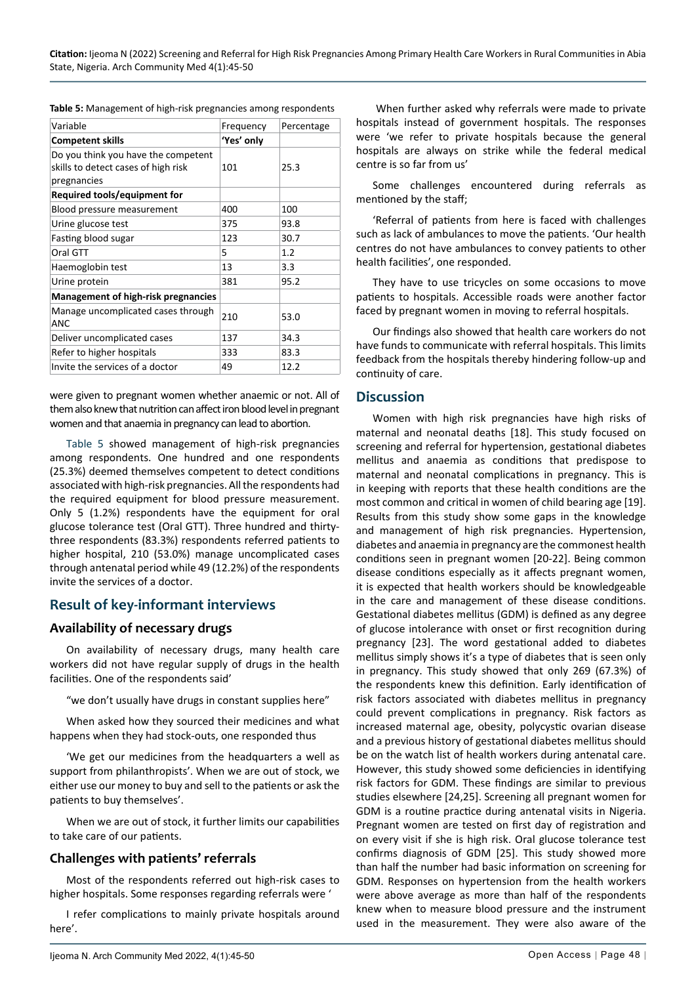| Variable                                                                                  | Frequency  | Percentage |
|-------------------------------------------------------------------------------------------|------------|------------|
| <b>Competent skills</b>                                                                   | 'Yes' only |            |
| Do you think you have the competent<br>skills to detect cases of high risk<br>pregnancies | 101        | 25.3       |
| Required tools/equipment for                                                              |            |            |
| Blood pressure measurement                                                                | 400        | 100        |
| Urine glucose test                                                                        | 375        | 93.8       |
| Fasting blood sugar                                                                       | 123        | 30.7       |
| Oral GTT                                                                                  | 5          | 1.2        |
| Haemoglobin test                                                                          | 13         | 3.3        |
| Urine protein                                                                             | 381        | 95.2       |
| <b>Management of high-risk pregnancies</b>                                                |            |            |
| Manage uncomplicated cases through<br>ANC                                                 | 210        | 53.0       |
| Deliver uncomplicated cases                                                               | 137        | 34.3       |
| Refer to higher hospitals                                                                 | 333        | 83.3       |
| Invite the services of a doctor                                                           | 49         | 12.2       |

<span id="page-3-0"></span>**Table 5:** Management of high-risk pregnancies among respondents

were given to pregnant women whether anaemic or not. All of them also knew that nutrition can affect iron blood level in pregnant women and that anaemia in pregnancy can lead to abortion.

[Table 5](#page-3-0) showed management of high-risk pregnancies among respondents. One hundred and one respondents (25.3%) deemed themselves competent to detect conditions associated with high-risk pregnancies. All the respondents had the required equipment for blood pressure measurement. Only 5 (1.2%) respondents have the equipment for oral glucose tolerance test (Oral GTT). Three hundred and thirtythree respondents (83.3%) respondents referred patients to higher hospital, 210 (53.0%) manage uncomplicated cases through antenatal period while 49 (12.2%) of the respondents invite the services of a doctor.

# **Result of key-informant interviews**

#### **Availability of necessary drugs**

On availability of necessary drugs, many health care workers did not have regular supply of drugs in the health facilities. One of the respondents said'

"we don't usually have drugs in constant supplies here"

When asked how they sourced their medicines and what happens when they had stock-outs, one responded thus

'We get our medicines from the headquarters a well as support from philanthropists'. When we are out of stock, we either use our money to buy and sell to the patients or ask the patients to buy themselves'.

When we are out of stock, it further limits our capabilities to take care of our patients.

#### **Challenges with patients' referrals**

Most of the respondents referred out high-risk cases to higher hospitals. Some responses regarding referrals were '

I refer complications to mainly private hospitals around here'.

 When further asked why referrals were made to private hospitals instead of government hospitals. The responses were 'we refer to private hospitals because the general hospitals are always on strike while the federal medical centre is so far from us'

Some challenges encountered during referrals as mentioned by the staff;

'Referral of patients from here is faced with challenges such as lack of ambulances to move the patients. 'Our health centres do not have ambulances to convey patients to other health facilities', one responded.

They have to use tricycles on some occasions to move patients to hospitals. Accessible roads were another factor faced by pregnant women in moving to referral hospitals.

Our findings also showed that health care workers do not have funds to communicate with referral hospitals. This limits feedback from the hospitals thereby hindering follow-up and continuity of care.

#### **Discussion**

Women with high risk pregnancies have high risks of maternal and neonatal deaths [18]. This study focused on screening and referral for hypertension, gestational diabetes mellitus and anaemia as conditions that predispose to maternal and neonatal complications in pregnancy. This is in keeping with reports that these health conditions are the most common and critical in women of child bearing age [19]. Results from this study show some gaps in the knowledge and management of high risk pregnancies. Hypertension, diabetes and anaemia in pregnancy are the commonest health conditions seen in pregnant women [20-22]. Being common disease conditions especially as it affects pregnant women, it is expected that health workers should be knowledgeable in the care and management of these disease conditions. Gestational diabetes mellitus (GDM) is defined as any degree of glucose intolerance with onset or first recognition during pregnancy [23]. The word gestational added to diabetes mellitus simply shows it's a type of diabetes that is seen only in pregnancy. This study showed that only 269 (67.3%) of the respondents knew this definition. Early identification of risk factors associated with diabetes mellitus in pregnancy could prevent complications in pregnancy. Risk factors as increased maternal age, obesity, polycystic ovarian disease and a previous history of gestational diabetes mellitus should be on the watch list of health workers during antenatal care. However, this study showed some deficiencies in identifying risk factors for GDM. These findings are similar to previous studies elsewhere [24,25]. Screening all pregnant women for GDM is a routine practice during antenatal visits in Nigeria. Pregnant women are tested on first day of registration and on every visit if she is high risk. Oral glucose tolerance test confirms diagnosis of GDM [25]. This study showed more than half the number had basic information on screening for GDM. Responses on hypertension from the health workers were above average as more than half of the respondents knew when to measure blood pressure and the instrument used in the measurement. They were also aware of the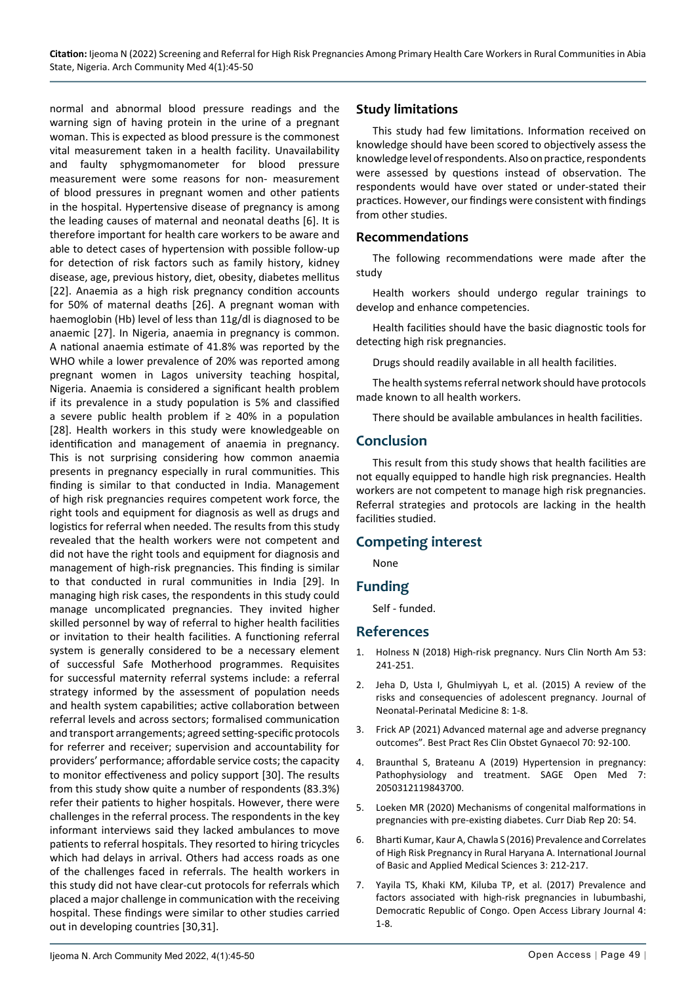normal and abnormal blood pressure readings and the warning sign of having protein in the urine of a pregnant woman. This is expected as blood pressure is the commonest vital measurement taken in a health facility. Unavailability and faulty sphygmomanometer for blood pressure measurement were some reasons for non- measurement of blood pressures in pregnant women and other patients in the hospital. Hypertensive disease of pregnancy is among the leading causes of maternal and neonatal deaths [6]. It is therefore important for health care workers to be aware and able to detect cases of hypertension with possible follow-up for detection of risk factors such as family history, kidney disease, age, previous history, diet, obesity, diabetes mellitus [22]. Anaemia as a high risk pregnancy condition accounts for 50% of maternal deaths [26]. A pregnant woman with haemoglobin (Hb) level of less than 11g/dl is diagnosed to be anaemic [27]. In Nigeria, anaemia in pregnancy is common. A national anaemia estimate of 41.8% was reported by the WHO while a lower prevalence of 20% was reported among pregnant women in Lagos university teaching hospital, Nigeria. Anaemia is considered a significant health problem if its prevalence in a study population is 5% and classified a severe public health problem if  $\geq 40\%$  in a population [28]. Health workers in this study were knowledgeable on identification and management of anaemia in pregnancy. This is not surprising considering how common anaemia presents in pregnancy especially in rural communities. This finding is similar to that conducted in India. Management of high risk pregnancies requires competent work force, the right tools and equipment for diagnosis as well as drugs and logistics for referral when needed. The results from this study revealed that the health workers were not competent and did not have the right tools and equipment for diagnosis and management of high-risk pregnancies. This finding is similar to that conducted in rural communities in India [29]. In managing high risk cases, the respondents in this study could manage uncomplicated pregnancies. They invited higher skilled personnel by way of referral to higher health facilities or invitation to their health facilities. A functioning referral system is generally considered to be a necessary element of successful Safe Motherhood programmes. Requisites for successful maternity referral systems include: a referral strategy informed by the assessment of population needs and health system capabilities; active collaboration between referral levels and across sectors; formalised communication and transport arrangements; agreed setting-specific protocols for referrer and receiver; supervision and accountability for providers' performance; affordable service costs; the capacity to monitor effectiveness and policy support [30]. The results from this study show quite a number of respondents (83.3%) refer their patients to higher hospitals. However, there were challenges in the referral process. The respondents in the key informant interviews said they lacked ambulances to move patients to referral hospitals. They resorted to hiring tricycles which had delays in arrival. Others had access roads as one of the challenges faced in referrals. The health workers in this study did not have clear-cut protocols for referrals which placed a major challenge in communication with the receiving hospital. These findings were similar to other studies carried out in developing countries [30,31].

### **Study limitations**

This study had few limitations. Information received on knowledge should have been scored to objectively assess the knowledge level of respondents. Also on practice, respondents were assessed by questions instead of observation. The respondents would have over stated or under-stated their practices. However, our findings were consistent with findings from other studies.

#### **Recommendations**

The following recommendations were made after the study

Health workers should undergo regular trainings to develop and enhance competencies.

Health facilities should have the basic diagnostic tools for detecting high risk pregnancies.

Drugs should readily available in all health facilities.

The health systems referral network should have protocols made known to all health workers.

There should be available ambulances in health facilities.

#### **Conclusion**

This result from this study shows that health facilities are not equally equipped to handle high risk pregnancies. Health workers are not competent to manage high risk pregnancies. Referral strategies and protocols are lacking in the health facilities studied.

# **Competing interest**

None

### **Funding**

Self - funded.

#### **References**

- 1. [Holness N \(2018\) High-risk pregnancy. Nurs Clin North Am 53:](https://pubmed.ncbi.nlm.nih.gov/29779516/)  [241-251.](https://pubmed.ncbi.nlm.nih.gov/29779516/)
- 2. [Jeha D, Usta I, Ghulmiyyah L, et al. \(2015\) A review of the](https://pubmed.ncbi.nlm.nih.gov/25766198/)  [risks and consequencies of adolescent pregnancy. Journal of](https://pubmed.ncbi.nlm.nih.gov/25766198/)  [Neonatal-Perinatal Medicine 8: 1-8.](https://pubmed.ncbi.nlm.nih.gov/25766198/)
- 3. [Frick AP \(2021\) Advanced maternal age and adverse pregnancy](https://pubmed.ncbi.nlm.nih.gov/32741623/)  [outcomes". Best Pract Res Clin Obstet Gynaecol 70: 92-100.](https://pubmed.ncbi.nlm.nih.gov/32741623/)
- 4. [Braunthal S, Brateanu A \(2019\) Hypertension in pregnancy:](https://www.ncbi.nlm.nih.gov/pmc/articles/PMC6458675/)  [Pathophysiology and treatment. SAGE Open Med 7:](https://www.ncbi.nlm.nih.gov/pmc/articles/PMC6458675/)  [2050312119843700.](https://www.ncbi.nlm.nih.gov/pmc/articles/PMC6458675/)
- 5. [Loeken MR \(2020\) Mechanisms of congenital malformations in](https://pubmed.ncbi.nlm.nih.gov/32918152/)  [pregnancies with pre-existing diabetes. Curr Diab Rep 20: 54.](https://pubmed.ncbi.nlm.nih.gov/32918152/)
- 6. Bharti Kumar, Kaur A, Chawla S (2016) Prevalence and Correlates of High Risk Pregnancy in Rural Haryana A. International Journal of Basic and Applied Medical Sciences 3: 212-217.
- 7. [Yayila TS, Khaki KM, Kiluba TP, et al. \(2017\) Prevalence and](https://www.scirp.org/journal/paperinformation.aspx?paperid=81091)  [factors associated with high-risk pregnancies in lubumbashi,](https://www.scirp.org/journal/paperinformation.aspx?paperid=81091)  [Democratic Republic of Congo. Open Access Library Journal 4:](https://www.scirp.org/journal/paperinformation.aspx?paperid=81091)  [1-8.](https://www.scirp.org/journal/paperinformation.aspx?paperid=81091)